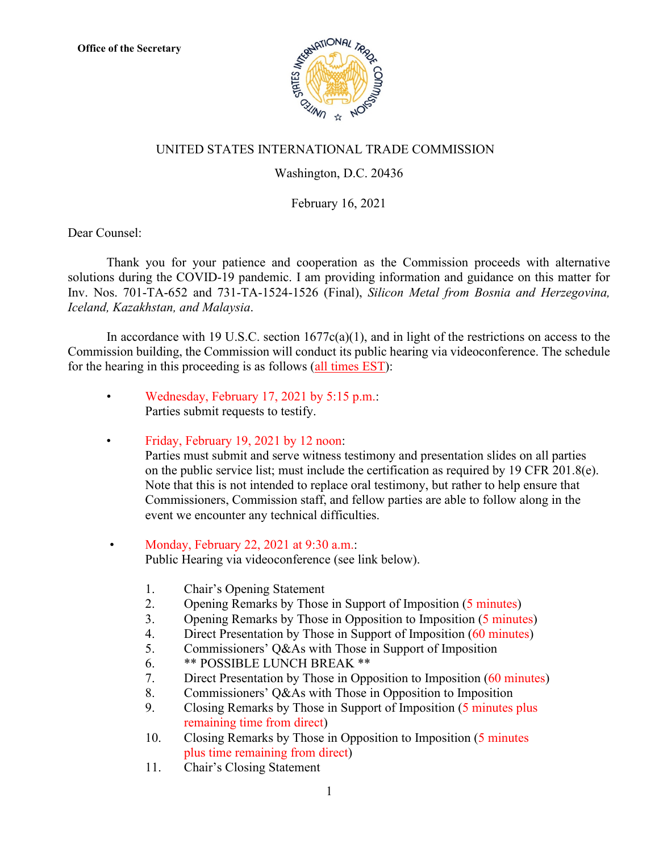

## UNITED STATES INTERNATIONAL TRADE COMMISSION

## Washington, D.C. 20436

## February 16, 2021

Dear Counsel:

Thank you for your patience and cooperation as the Commission proceeds with alternative solutions during the COVID-19 pandemic. I am providing information and guidance on this matter for Inv. Nos. 701-TA-652 and 731-TA-1524-1526 (Final), *Silicon Metal from Bosnia and Herzegovina, Iceland, Kazakhstan, and Malaysia*.

In accordance with 19 U.S.C. section  $1677c(a)(1)$ , and in light of the restrictions on access to the Commission building, the Commission will conduct its public hearing via videoconference. The schedule for the hearing in this proceeding is as follows (all times EST):

- Wednesday, February 17, 2021 by 5:15 p.m.: Parties submit requests to testify.
- Friday, February 19, 2021 by 12 noon: Parties must submit and serve witness testimony and presentation slides on all parties on the public service list; must include the certification as required by 19 CFR 201.8(e). Note that this is not intended to replace oral testimony, but rather to help ensure that Commissioners, Commission staff, and fellow parties are able to follow along in the event we encounter any technical difficulties.
- Monday, February 22, 2021 at 9:30 a.m.: Public Hearing via videoconference (see link below).
	- 1. Chair's Opening Statement
	- 2. Opening Remarks by Those in Support of Imposition (5 minutes)
	- 3. Opening Remarks by Those in Opposition to Imposition (5 minutes)
	- 4. Direct Presentation by Those in Support of Imposition (60 minutes)
	- 5. Commissioners' Q&As with Those in Support of Imposition
	- 6. \*\* POSSIBLE LUNCH BREAK \*\*
	- 7. Direct Presentation by Those in Opposition to Imposition (60 minutes)
	- 8. Commissioners' Q&As with Those in Opposition to Imposition
	- 9. Closing Remarks by Those in Support of Imposition (5 minutes plus remaining time from direct)
	- 10. Closing Remarks by Those in Opposition to Imposition (5 minutes plus time remaining from direct)
	- 11. Chair's Closing Statement